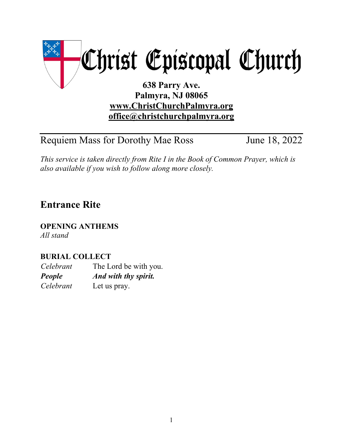

**office@christchurchpalmyra.org**

Requiem Mass for Dorothy Mae Ross June 18, 2022

*This service is taken directly from Rite I in the Book of Common Prayer, which is also available if you wish to follow along more closely.*

# **Entrance Rite**

**OPENING ANTHEMS** *All stand*

# **BURIAL COLLECT**

*Celebrant* The Lord be with you. *People And with thy spirit. Celebrant* Let us pray.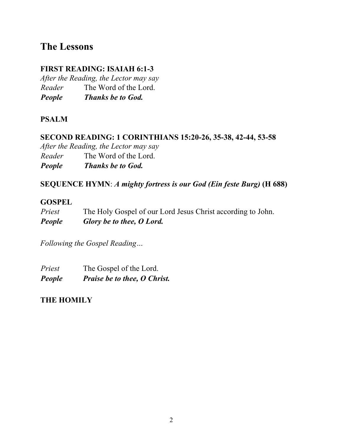# **The Lessons**

# **FIRST READING: ISAIAH 6:1-3**

*After the Reading, the Lector may say Reader* The Word of the Lord. *People Thanks be to God.*

### **PSALM**

### **SECOND READING: 1 CORINTHIANS 15:20-26, 35-38, 42-44, 53-58**

*After the Reading, the Lector may say Reader* The Word of the Lord. *People Thanks be to God.*

#### **SEQUENCE HYMN**: *A mighty fortress is our God (Ein feste Burg)* **(H 688)**

#### **GOSPEL**

| Priest | The Holy Gospel of our Lord Jesus Christ according to John. |
|--------|-------------------------------------------------------------|
| People | Glory be to thee, O Lord.                                   |

*Following the Gospel Reading…*

| Priest | The Gospel of the Lord.      |  |
|--------|------------------------------|--|
| People | Praise be to thee, O Christ. |  |

## **THE HOMILY**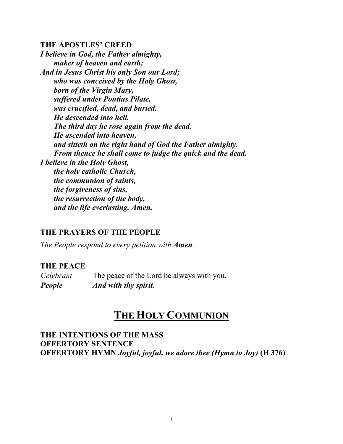#### **THE APOSTLES' CREED**

*I believe in God, the Father almighty, maker of heaven and earth; And in Jesus Christ his only Son our Lord; who was conceived by the Holy Ghost, born of the Virgin Mary, suffered under Pontius Pilate, was crucified, dead, and buried. He descended into hell. The third day he rose again from the dead. He ascended into heaven, and sitteth on the right hand of God the Father almighty. From thence he shall come to judge the quick and the dead. I believe in the Holy Ghost, the holy catholic Church, the communion of saints, the forgiveness of sins, the resurrection of the body, and the life everlasting. Amen.*

#### **THE PRAYERS OF THE PEOPLE**

*The People respond to every petition with Amen.*

#### **THE PEACE**

*Celebrant* The peace of the Lord be always with you. *People And with thy spirit.*

# **THE HOLY COMMUNION**

**THE INTENTIONS OF THE MASS OFFERTORY SENTENCE OFFERTORY HYMN** *Joyful, joyful, we adore thee (Hymn to Joy)* **(H 376)**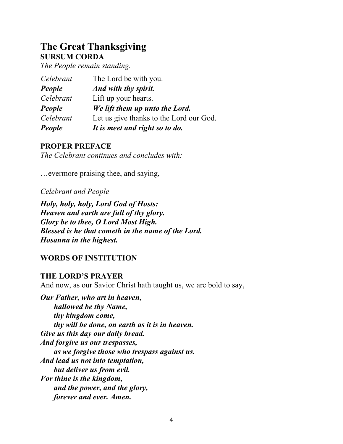# **The Great Thanksgiving SURSUM CORDA**

*The People remain standing.*

| People    | It is meet and right so to do.          |
|-----------|-----------------------------------------|
| Celebrant | Let us give thanks to the Lord our God. |
| People    | We lift them up unto the Lord.          |
| Celebrant | Lift up your hearts.                    |
| People    | And with thy spirit.                    |
| Celebrant | The Lord be with you.                   |

#### **PROPER PREFACE**

*The Celebrant continues and concludes with:*

…evermore praising thee, and saying,

#### *Celebrant and People*

*Holy, holy, holy, Lord God of Hosts: Heaven and earth are full of thy glory. Glory be to thee, O Lord Most High. Blessed is he that cometh in the name of the Lord. Hosanna in the highest.*

## **WORDS OF INSTITUTION**

#### **THE LORD'S PRAYER**

And now, as our Savior Christ hath taught us, we are bold to say,

*Our Father, who art in heaven, hallowed be thy Name, thy kingdom come, thy will be done, on earth as it is in heaven. Give us this day our daily bread. And forgive us our trespasses, as we forgive those who trespass against us. And lead us not into temptation, but deliver us from evil. For thine is the kingdom, and the power, and the glory, forever and ever. Amen.*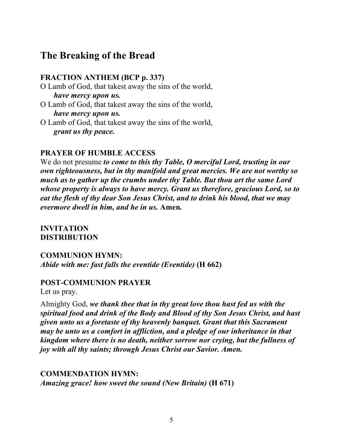# **The Breaking of the Bread**

#### **FRACTION ANTHEM (BCP p. 337)**

- O Lamb of God, that takest away the sins of the world, *have mercy upon us.*
- O Lamb of God, that takest away the sins of the world, *have mercy upon us.*
- O Lamb of God, that takest away the sins of the world, *grant us thy peace.*

#### **PRAYER OF HUMBLE ACCESS**

We do not presume *to come to this thy Table, O merciful Lord, trusting in our own righteousness, but in thy manifold and great mercies. We are not worthy so much as to gather up the crumbs under thy Table. But thou art the same Lord whose property is always to have mercy. Grant us therefore, gracious Lord, so to eat the flesh of thy dear Son Jesus Christ, and to drink his blood, that we may evermore dwell in him, and he in us.* **Amen***.*

**INVITATION DISTRIBUTION**

**COMMUNION HYMN:** *Abide with me: fast falls the eventide (Eventide)* **(H 662)**

#### **POST-COMMUNION PRAYER**

Let us pray.

Almighty God, *we thank thee that in thy great love thou hast fed us with the spiritual food and drink of the Body and Blood of thy Son Jesus Christ, and hast given unto us a foretaste of thy heavenly banquet. Grant that this Sacrament may be unto us a comfort in affliction, and a pledge of our inheritance in that kingdom where there is no death, neither sorrow nor crying, but the fullness of joy with all thy saints; through Jesus Christ our Savior. Amen.*

## **COMMENDATION HYMN:**

*Amazing grace! how sweet the sound (New Britain)* **(H 671)**